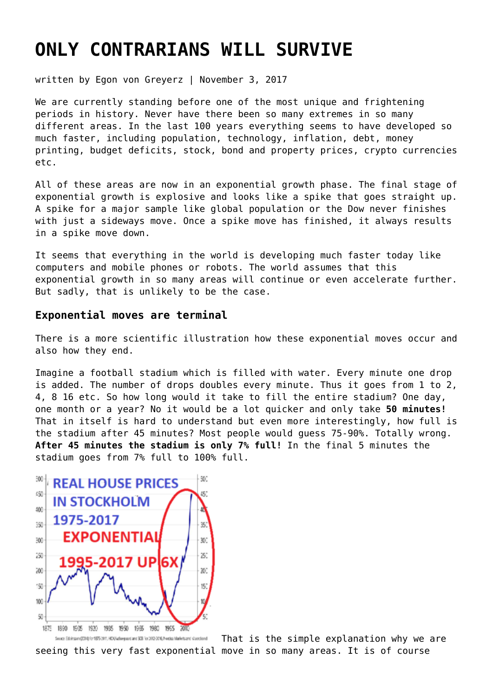# **[ONLY CONTRARIANS WILL SURVIVE](https://goldswitzerland.com/only-contrarians-will-survive/)**

written by Egon von Greyerz | November 3, 2017

We are currently standing before one of the most unique and frightening periods in history. Never have there been so many extremes in so many different areas. In the last 100 years everything seems to have developed so much faster, including population, technology, inflation, debt, money printing, budget deficits, stock, bond and property prices, crypto currencies etc.

All of these areas are now in an exponential growth phase. The final stage of exponential growth is explosive and looks like a spike that goes straight up. A spike for a major sample like global population or the Dow never finishes with just a sideways move. Once a spike move has finished, it always results in a spike move down.

It seems that everything in the world is developing much faster today like computers and mobile phones or robots. The world assumes that this exponential growth in so many areas will continue or even accelerate further. But sadly, that is unlikely to be the case.

#### **Exponential moves are terminal**

There is a more scientific illustration how these exponential moves occur and also how they end.

Imagine a football stadium which is filled with water. Every minute one drop is added. The number of drops doubles every minute. Thus it goes from 1 to 2, 4, 8 16 etc. So how long would it take to fill the entire stadium? One day, one month or a year? No it would be a lot quicker and only take **50 minutes!** That in itself is hard to understand but even more interestingly, how full is the stadium after 45 minutes? Most people would guess 75-90%. Totally wrong. **After 45 minutes the stadium is only 7% full!** In the final 5 minutes the stadium goes from 7% full to 100% full.



That is the simple explanation why we are Seuce Edvirsum (2014) for 1875-2011, HCA/valueguard and SCB for 2012-2016, Nordsa Markets and Maxochand seeing this very fast exponential move in so many areas. It is of course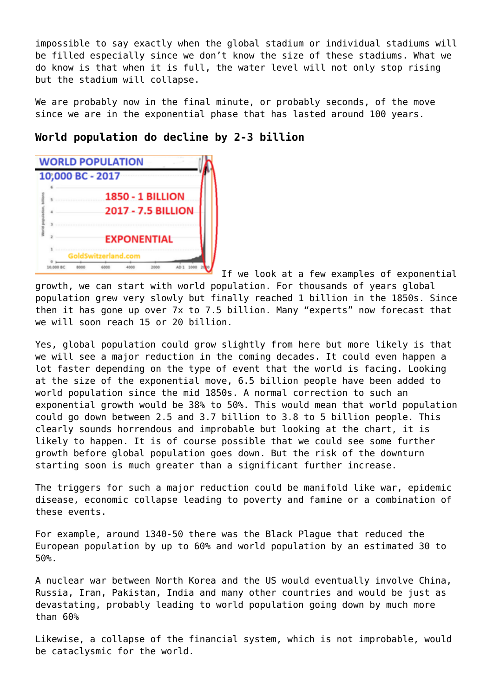impossible to say exactly when the global stadium or individual stadiums will be filled especially since we don't know the size of these stadiums. What we do know is that when it is full, the water level will not only stop rising but the stadium will collapse.

We are probably now in the final minute, or probably seconds, of the move since we are in the exponential phase that has lasted around 100 years.

# **World population do decline by 2-3 billion**



If we look at a few examples of exponential growth, we can start with world population. For thousands of years global population grew very slowly but finally reached 1 billion in the 1850s. Since then it has gone up over 7x to 7.5 billion. Many "experts" now forecast that we will soon reach 15 or 20 billion.

Yes, global population could grow slightly from here but more likely is that we will see a major reduction in the coming decades. It could even happen a lot faster depending on the type of event that the world is facing. Looking at the size of the exponential move, 6.5 billion people have been added to world population since the mid 1850s. A normal correction to such an exponential growth would be 38% to 50%. This would mean that world population could go down between 2.5 and 3.7 billion to 3.8 to 5 billion people. This clearly sounds horrendous and improbable but looking at the chart, it is likely to happen. It is of course possible that we could see some further growth before global population goes down. But the risk of the downturn starting soon is much greater than a significant further increase.

The triggers for such a major reduction could be manifold like war, epidemic disease, economic collapse leading to poverty and famine or a combination of these events.

For example, around 1340-50 there was the Black Plague that reduced the European population by up to 60% and world population by an estimated 30 to 50%.

A nuclear war between North Korea and the US would eventually involve China, Russia, Iran, Pakistan, India and many other countries and would be just as devastating, probably leading to world population going down by much more than 60%

Likewise, a collapse of the financial system, which is not improbable, would be cataclysmic for the world.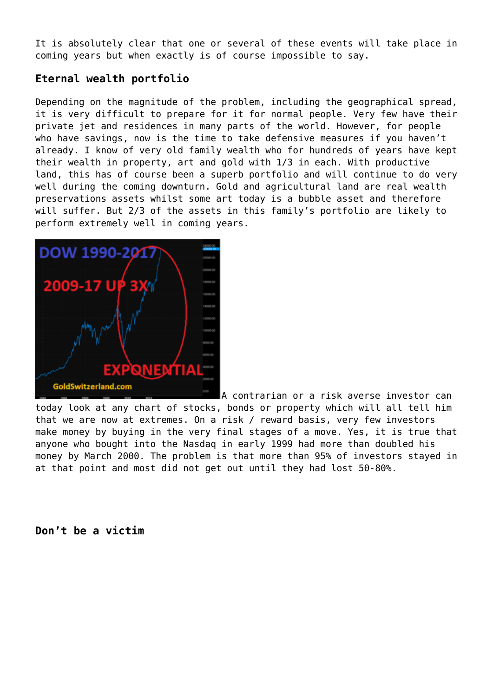It is absolutely clear that one or several of these events will take place in coming years but when exactly is of course impossible to say.

# **Eternal wealth portfolio**

Depending on the magnitude of the problem, including the geographical spread, it is very difficult to prepare for it for normal people. Very few have their private jet and residences in many parts of the world. However, for people who have savings, now is the time to take defensive measures if you haven't already. I know of very old family wealth who for hundreds of years have kept their wealth in property, art and gold with 1/3 in each. With productive land, this has of course been a superb portfolio and will continue to do very well during the coming downturn. Gold and agricultural land are real wealth preservations assets whilst some art today is a bubble asset and therefore will suffer. But 2/3 of the assets in this family's portfolio are likely to perform extremely well in coming years.



A contrarian or a risk averse investor can today look at any chart of stocks, bonds or property which will all tell him that we are now at extremes. On a risk / reward basis, very few investors make money by buying in the very final stages of a move. Yes, it is true that anyone who bought into the Nasdaq in early 1999 had more than doubled his money by March 2000. The problem is that more than 95% of investors stayed in at that point and most did not get out until they had lost 50-80%.

**Don't be a victim**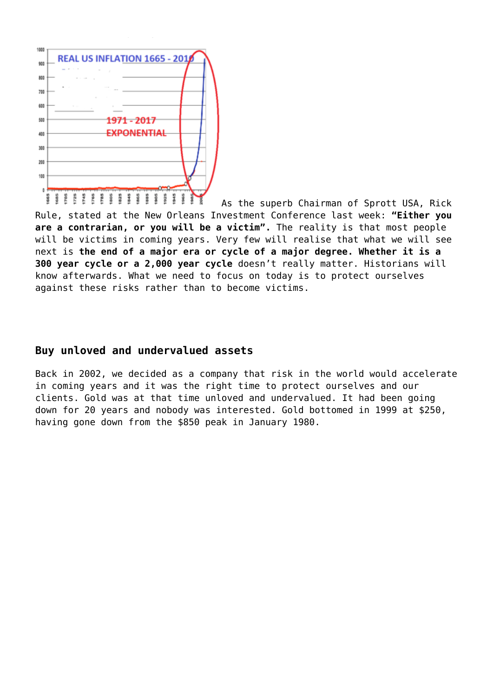

As the superb Chairman of Sprott USA, Rick Rule, stated at the New Orleans Investment Conference last week: **"Either you are a contrarian, or you will be a victim".** The reality is that most people will be victims in coming years. Very few will realise that what we will see next is **the end of a major era or cycle of a major degree. Whether it is a 300 year cycle or a 2,000 year cycle** doesn't really matter. Historians will know afterwards. What we need to focus on today is to protect ourselves against these risks rather than to become victims.

#### **Buy unloved and undervalued assets**

Back in 2002, we decided as a company that risk in the world would accelerate in coming years and it was the right time to protect ourselves and our clients. Gold was at that time unloved and undervalued. It had been going down for 20 years and nobody was interested. Gold bottomed in 1999 at \$250, having gone down from the \$850 peak in January 1980.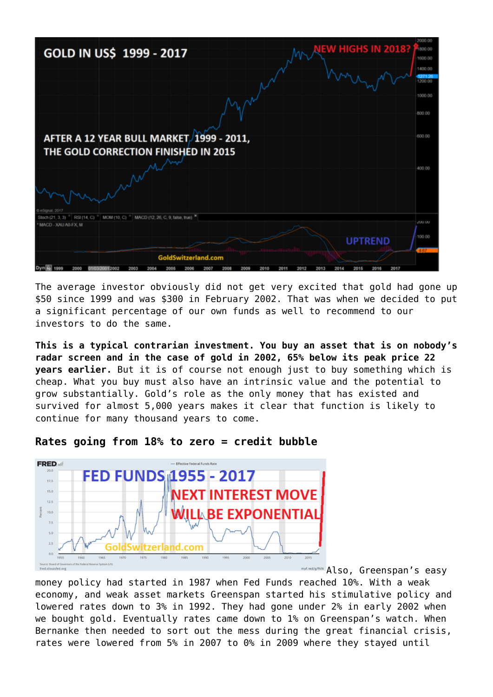

The average investor obviously did not get very excited that gold had gone up \$50 since 1999 and was \$300 in February 2002. That was when we decided to put a significant percentage of our own funds as well to recommend to our investors to do the same.

**This is a typical contrarian investment. You buy an asset that is on nobody's radar screen and in the case of gold in 2002, 65% below its peak price 22 years earlier.** But it is of course not enough just to buy something which is cheap. What you buy must also have an intrinsic value and the potential to grow substantially. Gold's role as the only money that has existed and survived for almost 5,000 years makes it clear that function is likely to continue for many thousand years to come.



#### **Rates going from 18% to zero = credit bubble**

myf.red/g/fhiN Also, Greenspan's easy

money policy had started in 1987 when Fed Funds reached 10%. With a weak economy, and weak asset markets Greenspan started his stimulative policy and lowered rates down to 3% in 1992. They had gone under 2% in early 2002 when we bought gold. Eventually rates came down to 1% on Greenspan's watch. When Bernanke then needed to sort out the mess during the great financial crisis, rates were lowered from 5% in 2007 to 0% in 2009 where they stayed until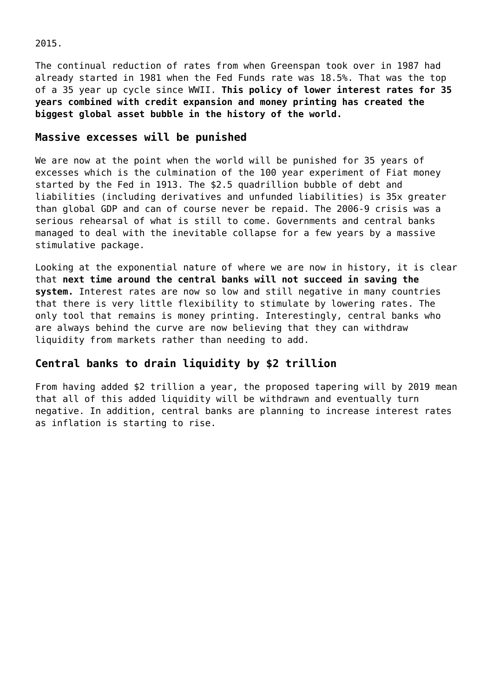2015.

The continual reduction of rates from when Greenspan took over in 1987 had already started in 1981 when the Fed Funds rate was 18.5%. That was the top of a 35 year up cycle since WWII. **This policy of lower interest rates for 35 years combined with credit expansion and money printing has created the biggest global asset bubble in the history of the world.**

### **Massive excesses will be punished**

We are now at the point when the world will be punished for 35 years of excesses which is the culmination of the 100 year experiment of Fiat money started by the Fed in 1913. The \$2.5 quadrillion bubble of debt and liabilities (including derivatives and unfunded liabilities) is 35x greater than global GDP and can of course never be repaid. The 2006-9 crisis was a serious rehearsal of what is still to come. Governments and central banks managed to deal with the inevitable collapse for a few years by a massive stimulative package.

Looking at the exponential nature of where we are now in history, it is clear that **next time around the central banks will not succeed in saving the system.** Interest rates are now so low and still negative in many countries that there is very little flexibility to stimulate by lowering rates. The only tool that remains is money printing. Interestingly, central banks who are always behind the curve are now believing that they can withdraw liquidity from markets rather than needing to add.

# **Central banks to drain liquidity by \$2 trillion**

From having added \$2 trillion a year, the proposed tapering will by 2019 mean that all of this added liquidity will be withdrawn and eventually turn negative. In addition, central banks are planning to increase interest rates as inflation is starting to rise.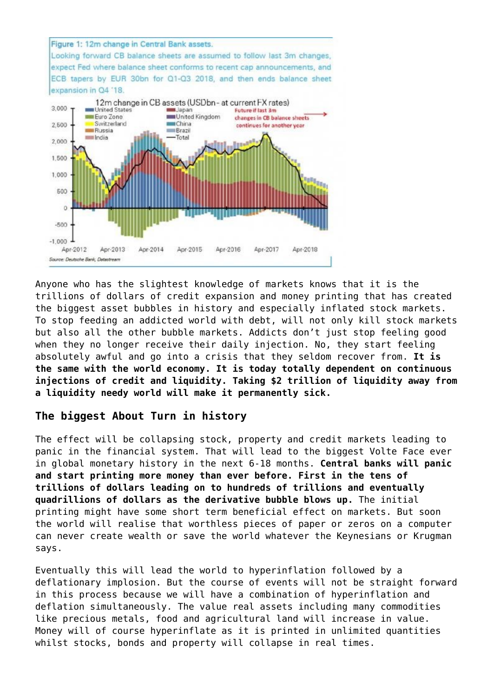

Anyone who has the slightest knowledge of markets knows that it is the trillions of dollars of credit expansion and money printing that has created the biggest asset bubbles in history and especially inflated stock markets. To stop feeding an addicted world with debt, will not only kill stock markets but also all the other bubble markets. Addicts don't just stop feeling good when they no longer receive their daily injection. No, they start feeling absolutely awful and go into a crisis that they seldom recover from. **It is the same with the world economy. It is today totally dependent on continuous injections of credit and liquidity. Taking \$2 trillion of liquidity away from a liquidity needy world will make it permanently sick.**

# **The biggest About Turn in history**

The effect will be collapsing stock, property and credit markets leading to panic in the financial system. That will lead to the biggest Volte Face ever in global monetary history in the next 6-18 months. **Central banks will panic and start printing more money than ever before. First in the tens of trillions of dollars leading on to hundreds of trillions and eventually quadrillions of dollars as the derivative bubble blows up.** The initial printing might have some short term beneficial effect on markets. But soon the world will realise that worthless pieces of paper or zeros on a computer can never create wealth or save the world whatever the Keynesians or Krugman says.

Eventually this will lead the world to hyperinflation followed by a deflationary implosion. But the course of events will not be straight forward in this process because we will have a combination of hyperinflation and deflation simultaneously. The value real assets including many commodities like precious metals, food and agricultural land will increase in value. Money will of course hyperinflate as it is printed in unlimited quantities whilst stocks, bonds and property will collapse in real times.